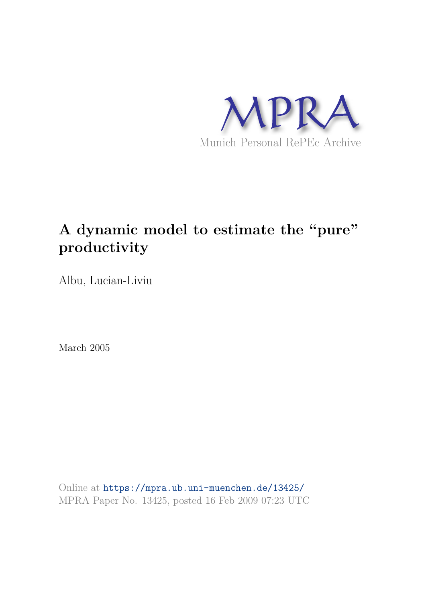

## **A dynamic model to estimate the "pure" productivity**

Albu, Lucian-Liviu

March 2005

Online at https://mpra.ub.uni-muenchen.de/13425/ MPRA Paper No. 13425, posted 16 Feb 2009 07:23 UTC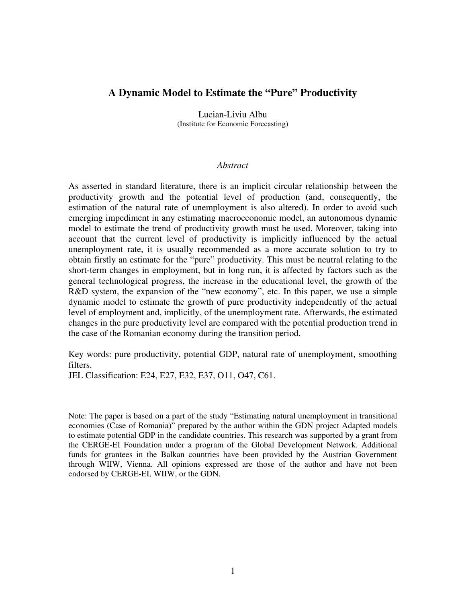## **A Dynamic Model to Estimate the "Pure" Productivity**

Lucian-Liviu Albu (Institute for Economic Forecasting)

## *Abstract*

As asserted in standard literature, there is an implicit circular relationship between the productivity growth and the potential level of production (and, consequently, the estimation of the natural rate of unemployment is also altered). In order to avoid such emerging impediment in any estimating macroeconomic model, an autonomous dynamic model to estimate the trend of productivity growth must be used. Moreover, taking into account that the current level of productivity is implicitly influenced by the actual unemployment rate, it is usually recommended as a more accurate solution to try to obtain firstly an estimate for the "pure" productivity. This must be neutral relating to the short-term changes in employment, but in long run, it is affected by factors such as the general technological progress, the increase in the educational level, the growth of the R&D system, the expansion of the "new economy", etc. In this paper, we use a simple dynamic model to estimate the growth of pure productivity independently of the actual level of employment and, implicitly, of the unemployment rate. Afterwards, the estimated changes in the pure productivity level are compared with the potential production trend in the case of the Romanian economy during the transition period.

Key words: pure productivity, potential GDP, natural rate of unemployment, smoothing filters.

JEL Classification: E24, E27, E32, E37, O11, O47, C61.

Note: The paper is based on a part of the study "Estimating natural unemployment in transitional economies (Case of Romania)" prepared by the author within the GDN project Adapted models to estimate potential GDP in the candidate countries. This research was supported by a grant from the CERGE-EI Foundation under a program of the Global Development Network. Additional funds for grantees in the Balkan countries have been provided by the Austrian Government through WIIW, Vienna. All opinions expressed are those of the author and have not been endorsed by CERGE-EI, WIIW, or the GDN.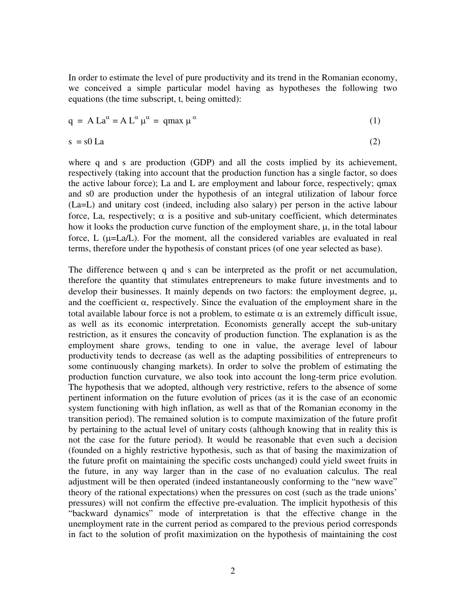In order to estimate the level of pure productivity and its trend in the Romanian economy, we conceived a simple particular model having as hypotheses the following two equations (the time subscript, t, being omitted):

$$
q = A La^{\alpha} = A L^{\alpha} \mu^{\alpha} = qmax \mu^{\alpha}
$$
 (1)

$$
s = s0 La
$$
 (2)

where q and s are production (GDP) and all the costs implied by its achievement, respectively (taking into account that the production function has a single factor, so does the active labour force); La and L are employment and labour force, respectively; qmax and s0 are production under the hypothesis of an integral utilization of labour force (La=L) and unitary cost (indeed, including also salary) per person in the active labour force, La, respectively;  $\alpha$  is a positive and sub-unitary coefficient, which determinates how it looks the production curve function of the employment share, µ, in the total labour force,  $L$  ( $\mu$ =La/L). For the moment, all the considered variables are evaluated in real terms, therefore under the hypothesis of constant prices (of one year selected as base).

The difference between q and s can be interpreted as the profit or net accumulation, therefore the quantity that stimulates entrepreneurs to make future investments and to develop their businesses. It mainly depends on two factors: the employment degree, μ, and the coefficient  $\alpha$ , respectively. Since the evaluation of the employment share in the total available labour force is not a problem, to estimate  $\alpha$  is an extremely difficult issue, as well as its economic interpretation. Economists generally accept the sub-unitary restriction, as it ensures the concavity of production function. The explanation is as the employment share grows, tending to one in value, the average level of labour productivity tends to decrease (as well as the adapting possibilities of entrepreneurs to some continuously changing markets). In order to solve the problem of estimating the production function curvature, we also took into account the long-term price evolution. The hypothesis that we adopted, although very restrictive, refers to the absence of some pertinent information on the future evolution of prices (as it is the case of an economic system functioning with high inflation, as well as that of the Romanian economy in the transition period). The remained solution is to compute maximization of the future profit by pertaining to the actual level of unitary costs (although knowing that in reality this is not the case for the future period). It would be reasonable that even such a decision (founded on a highly restrictive hypothesis, such as that of basing the maximization of the future profit on maintaining the specific costs unchanged) could yield sweet fruits in the future, in any way larger than in the case of no evaluation calculus. The real adjustment will be then operated (indeed instantaneously conforming to the "new wave" theory of the rational expectations) when the pressures on cost (such as the trade unions' pressures) will not confirm the effective pre-evaluation. The implicit hypothesis of this "backward dynamics" mode of interpretation is that the effective change in the unemployment rate in the current period as compared to the previous period corresponds in fact to the solution of profit maximization on the hypothesis of maintaining the cost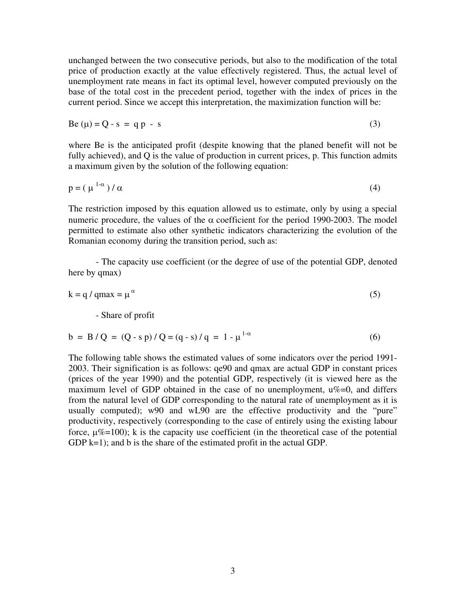unchanged between the two consecutive periods, but also to the modification of the total price of production exactly at the value effectively registered. Thus, the actual level of unemployment rate means in fact its optimal level, however computed previously on the base of the total cost in the precedent period, together with the index of prices in the current period. Since we accept this interpretation, the maximization function will be:

$$
Be (\mu) = Q - s = qp - s \tag{3}
$$

where Be is the anticipated profit (despite knowing that the planed benefit will not be fully achieved), and Q is the value of production in current prices, p. This function admits a maximum given by the solution of the following equation:

$$
p = (\mu^{1-\alpha})/\alpha \tag{4}
$$

The restriction imposed by this equation allowed us to estimate, only by using a special numeric procedure, the values of the  $\alpha$  coefficient for the period 1990-2003. The model permitted to estimate also other synthetic indicators characterizing the evolution of the Romanian economy during the transition period, such as:

 - The capacity use coefficient (or the degree of use of the potential GDP, denoted here by qmax)

$$
k = q / qmax = \mu^{\alpha}
$$
 (5)

- Share of profit

$$
b = B/Q = (Q - s p) / Q = (q - s) / q = 1 - \mu^{1-\alpha}
$$
 (6)

The following table shows the estimated values of some indicators over the period 1991- 2003. Their signification is as follows: qe90 and qmax are actual GDP in constant prices (prices of the year 1990) and the potential GDP, respectively (it is viewed here as the maximum level of GDP obtained in the case of no unemployment,  $u\%=0$ , and differs from the natural level of GDP corresponding to the natural rate of unemployment as it is usually computed); w90 and wL90 are the effective productivity and the "pure" productivity, respectively (corresponding to the case of entirely using the existing labour force,  $\mu\% = 100$ ); k is the capacity use coefficient (in the theoretical case of the potential GDP  $k=1$ ; and b is the share of the estimated profit in the actual GDP.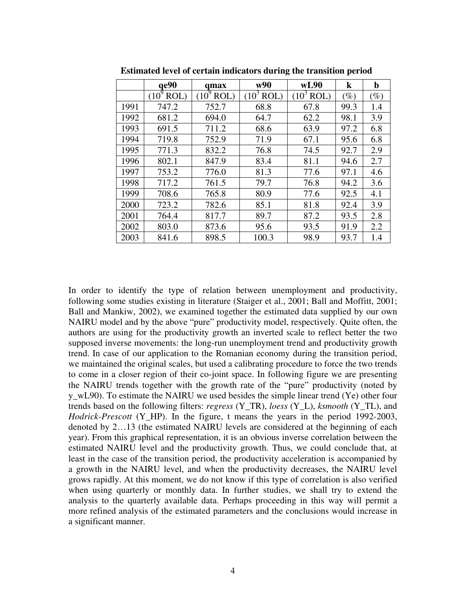|      | qe90         | qmax         | w90          | wL90         | $\bf k$ | $\mathbf b$ |
|------|--------------|--------------|--------------|--------------|---------|-------------|
|      | $(10^9$ ROL) | $(10^9$ ROL) | $(10^3$ ROL) | $(10^3$ ROL) | $(\%)$  | $(\%)$      |
| 1991 | 747.2        | 752.7        | 68.8         | 67.8         | 99.3    | 1.4         |
| 1992 | 681.2        | 694.0        | 64.7         | 62.2         | 98.1    | 3.9         |
| 1993 | 691.5        | 711.2        | 68.6         | 63.9         | 97.2    | 6.8         |
| 1994 | 719.8        | 752.9        | 71.9         | 67.1         | 95.6    | 6.8         |
| 1995 | 771.3        | 832.2        | 76.8         | 74.5         | 92.7    | 2.9         |
| 1996 | 802.1        | 847.9        | 83.4         | 81.1         | 94.6    | 2.7         |
| 1997 | 753.2        | 776.0        | 81.3         | 77.6         | 97.1    | 4.6         |
| 1998 | 717.2        | 761.5        | 79.7         | 76.8         | 94.2    | 3.6         |
| 1999 | 708.6        | 765.8        | 80.9         | 77.6         | 92.5    | 4.1         |
| 2000 | 723.2        | 782.6        | 85.1         | 81.8         | 92.4    | 3.9         |
| 2001 | 764.4        | 817.7        | 89.7         | 87.2         | 93.5    | 2.8         |
| 2002 | 803.0        | 873.6        | 95.6         | 93.5         | 91.9    | 2.2         |
| 2003 | 841.6        | 898.5        | 100.3        | 98.9         | 93.7    | 1.4         |

**Estimated level of certain indicators during the transition period** 

In order to identify the type of relation between unemployment and productivity, following some studies existing in literature (Staiger et al., 2001; Ball and Moffitt, 2001; Ball and Mankiw, 2002), we examined together the estimated data supplied by our own NAIRU model and by the above "pure" productivity model, respectively. Quite often, the authors are using for the productivity growth an inverted scale to reflect better the two supposed inverse movements: the long-run unemployment trend and productivity growth trend. In case of our application to the Romanian economy during the transition period, we maintained the original scales, but used a calibrating procedure to force the two trends to come in a closer region of their co-joint space. In following figure we are presenting the NAIRU trends together with the growth rate of the "pure" productivity (noted by y\_wL90). To estimate the NAIRU we used besides the simple linear trend (Ye) other four trends based on the following filters: *regress* (Y\_TR), *loess* (Y\_L), *ksmooth* (Y\_TL), and *Hodrick-Prescott* (Y\_HP). In the figure, t means the years in the period 1992-2003, denoted by 2…13 (the estimated NAIRU levels are considered at the beginning of each year). From this graphical representation, it is an obvious inverse correlation between the estimated NAIRU level and the productivity growth. Thus, we could conclude that, at least in the case of the transition period, the productivity acceleration is accompanied by a growth in the NAIRU level, and when the productivity decreases, the NAIRU level grows rapidly. At this moment, we do not know if this type of correlation is also verified when using quarterly or monthly data. In further studies, we shall try to extend the analysis to the quarterly available data. Perhaps proceeding in this way will permit a more refined analysis of the estimated parameters and the conclusions would increase in a significant manner.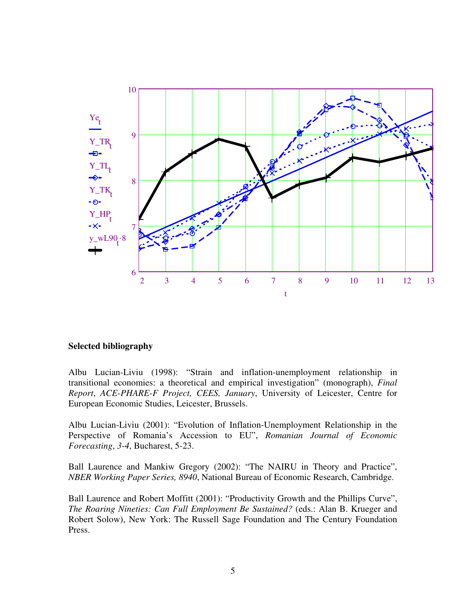

## **Selected bibliography**

Albu Lucian-Liviu (1998): "Strain and inflation-unemployment relationship in transitional economies: a theoretical and empirical investigation" (monograph), *Final Report*, *ACE-PHARE-F Project, CEES, January*, University of Leicester, Centre for European Economic Studies, Leicester, Brussels.

Albu Lucian-Liviu (2001): "Evolution of Inflation-Unemployment Relationship in the Perspective of Romania's Accession to EU", *Romanian Journal of Economic Forecasting*, *3-4*, Bucharest, 5-23.

Ball Laurence and Mankiw Gregory (2002): "The NAIRU in Theory and Practice", *NBER Working Paper Series, 8940*, National Bureau of Economic Research, Cambridge.

Ball Laurence and Robert Moffitt (2001): "Productivity Growth and the Phillips Curve", *The Roaring Nineties: Can Full Employment Be Sustained?* (eds.: Alan B. Krueger and Robert Solow), New York: The Russell Sage Foundation and The Century Foundation Press.